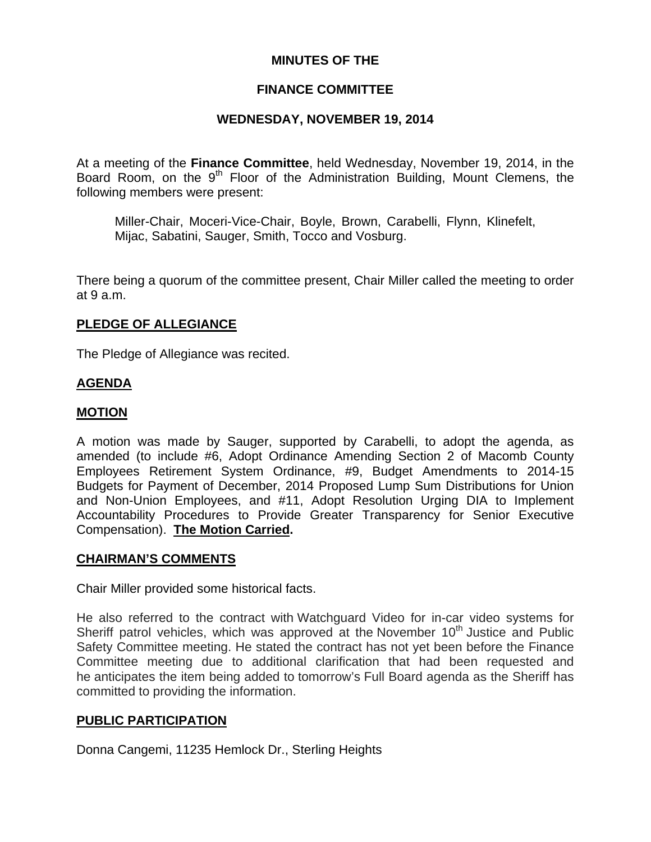## **MINUTES OF THE**

# **FINANCE COMMITTEE**

# **WEDNESDAY, NOVEMBER 19, 2014**

At a meeting of the **Finance Committee**, held Wednesday, November 19, 2014, in the Board Room, on the 9<sup>th</sup> Floor of the Administration Building, Mount Clemens, the following members were present:

Miller-Chair, Moceri-Vice-Chair, Boyle, Brown, Carabelli, Flynn, Klinefelt, Mijac, Sabatini, Sauger, Smith, Tocco and Vosburg.

There being a quorum of the committee present, Chair Miller called the meeting to order at 9 a.m.

## **PLEDGE OF ALLEGIANCE**

The Pledge of Allegiance was recited.

## **AGENDA**

### **MOTION**

A motion was made by Sauger, supported by Carabelli, to adopt the agenda, as amended (to include #6, Adopt Ordinance Amending Section 2 of Macomb County Employees Retirement System Ordinance, #9, Budget Amendments to 2014-15 Budgets for Payment of December, 2014 Proposed Lump Sum Distributions for Union and Non-Union Employees, and #11, Adopt Resolution Urging DIA to Implement Accountability Procedures to Provide Greater Transparency for Senior Executive Compensation). **The Motion Carried.** 

### **CHAIRMAN'S COMMENTS**

Chair Miller provided some historical facts.

He also referred to the contract with Watchguard Video for in-car video systems for Sheriff patrol vehicles, which was approved at the November  $10<sup>th</sup>$  Justice and Public Safety Committee meeting. He stated the contract has not yet been before the Finance Committee meeting due to additional clarification that had been requested and he anticipates the item being added to tomorrow's Full Board agenda as the Sheriff has committed to providing the information.

### **PUBLIC PARTICIPATION**

Donna Cangemi, 11235 Hemlock Dr., Sterling Heights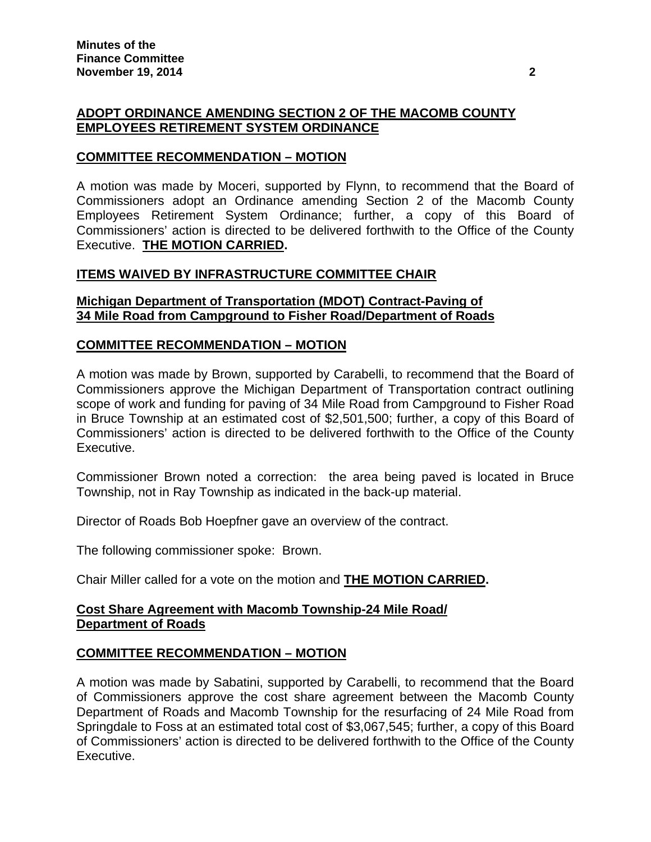# **ADOPT ORDINANCE AMENDING SECTION 2 OF THE MACOMB COUNTY EMPLOYEES RETIREMENT SYSTEM ORDINANCE**

### **COMMITTEE RECOMMENDATION – MOTION**

A motion was made by Moceri, supported by Flynn, to recommend that the Board of Commissioners adopt an Ordinance amending Section 2 of the Macomb County Employees Retirement System Ordinance; further, a copy of this Board of Commissioners' action is directed to be delivered forthwith to the Office of the County Executive. **THE MOTION CARRIED.** 

### **ITEMS WAIVED BY INFRASTRUCTURE COMMITTEE CHAIR**

### **Michigan Department of Transportation (MDOT) Contract-Paving of 34 Mile Road from Campground to Fisher Road/Department of Roads**

### **COMMITTEE RECOMMENDATION – MOTION**

A motion was made by Brown, supported by Carabelli, to recommend that the Board of Commissioners approve the Michigan Department of Transportation contract outlining scope of work and funding for paving of 34 Mile Road from Campground to Fisher Road in Bruce Township at an estimated cost of \$2,501,500; further, a copy of this Board of Commissioners' action is directed to be delivered forthwith to the Office of the County Executive.

Commissioner Brown noted a correction: the area being paved is located in Bruce Township, not in Ray Township as indicated in the back-up material.

Director of Roads Bob Hoepfner gave an overview of the contract.

The following commissioner spoke: Brown.

Chair Miller called for a vote on the motion and **THE MOTION CARRIED.**

### **Cost Share Agreement with Macomb Township-24 Mile Road/ Department of Roads**

## **COMMITTEE RECOMMENDATION – MOTION**

A motion was made by Sabatini, supported by Carabelli, to recommend that the Board of Commissioners approve the cost share agreement between the Macomb County Department of Roads and Macomb Township for the resurfacing of 24 Mile Road from Springdale to Foss at an estimated total cost of \$3,067,545; further, a copy of this Board of Commissioners' action is directed to be delivered forthwith to the Office of the County Executive.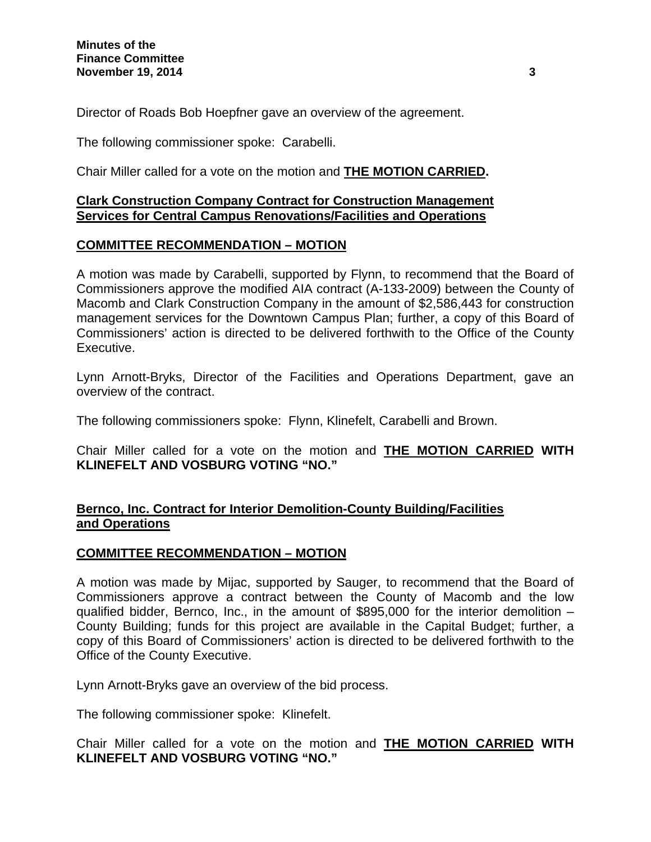Director of Roads Bob Hoepfner gave an overview of the agreement.

The following commissioner spoke: Carabelli.

Chair Miller called for a vote on the motion and **THE MOTION CARRIED.**

## **Clark Construction Company Contract for Construction Management Services for Central Campus Renovations/Facilities and Operations**

## **COMMITTEE RECOMMENDATION – MOTION**

A motion was made by Carabelli, supported by Flynn, to recommend that the Board of Commissioners approve the modified AIA contract (A-133-2009) between the County of Macomb and Clark Construction Company in the amount of \$2,586,443 for construction management services for the Downtown Campus Plan; further, a copy of this Board of Commissioners' action is directed to be delivered forthwith to the Office of the County Executive.

Lynn Arnott-Bryks, Director of the Facilities and Operations Department, gave an overview of the contract.

The following commissioners spoke: Flynn, Klinefelt, Carabelli and Brown.

Chair Miller called for a vote on the motion and **THE MOTION CARRIED WITH KLINEFELT AND VOSBURG VOTING "NO."** 

## **Bernco, Inc. Contract for Interior Demolition-County Building/Facilities and Operations**

## **COMMITTEE RECOMMENDATION – MOTION**

A motion was made by Mijac, supported by Sauger, to recommend that the Board of Commissioners approve a contract between the County of Macomb and the low qualified bidder, Bernco, Inc., in the amount of \$895,000 for the interior demolition – County Building; funds for this project are available in the Capital Budget; further, a copy of this Board of Commissioners' action is directed to be delivered forthwith to the Office of the County Executive.

Lynn Arnott-Bryks gave an overview of the bid process.

The following commissioner spoke: Klinefelt.

Chair Miller called for a vote on the motion and **THE MOTION CARRIED WITH KLINEFELT AND VOSBURG VOTING "NO."**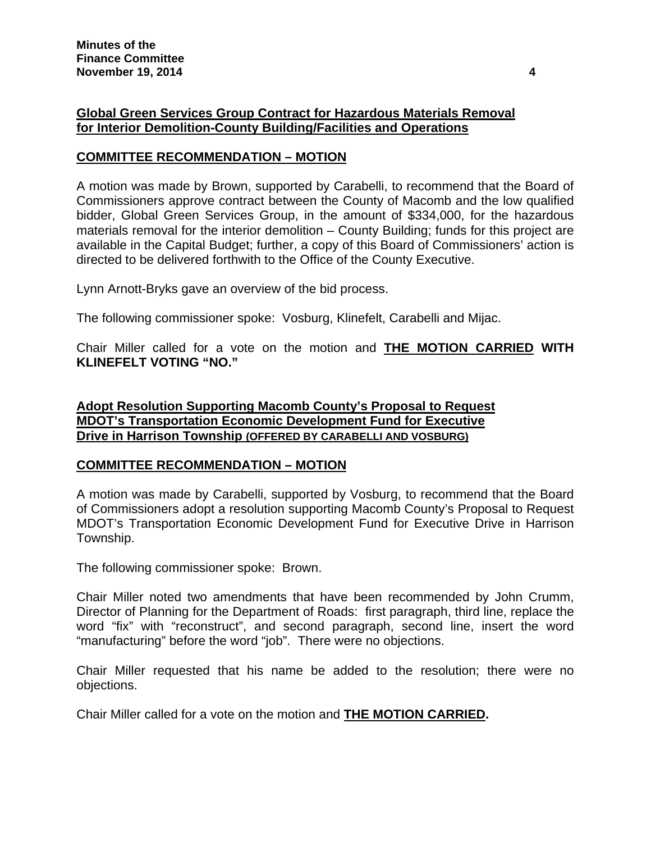## **Global Green Services Group Contract for Hazardous Materials Removal for Interior Demolition-County Building/Facilities and Operations**

## **COMMITTEE RECOMMENDATION – MOTION**

A motion was made by Brown, supported by Carabelli, to recommend that the Board of Commissioners approve contract between the County of Macomb and the low qualified bidder, Global Green Services Group, in the amount of \$334,000, for the hazardous materials removal for the interior demolition – County Building; funds for this project are available in the Capital Budget; further, a copy of this Board of Commissioners' action is directed to be delivered forthwith to the Office of the County Executive.

Lynn Arnott-Bryks gave an overview of the bid process.

The following commissioner spoke: Vosburg, Klinefelt, Carabelli and Mijac.

Chair Miller called for a vote on the motion and **THE MOTION CARRIED WITH KLINEFELT VOTING "NO."** 

**Adopt Resolution Supporting Macomb County's Proposal to Request MDOT's Transportation Economic Development Fund for Executive Drive in Harrison Township (OFFERED BY CARABELLI AND VOSBURG)**

### **COMMITTEE RECOMMENDATION – MOTION**

A motion was made by Carabelli, supported by Vosburg, to recommend that the Board of Commissioners adopt a resolution supporting Macomb County's Proposal to Request MDOT's Transportation Economic Development Fund for Executive Drive in Harrison Township.

The following commissioner spoke: Brown.

Chair Miller noted two amendments that have been recommended by John Crumm, Director of Planning for the Department of Roads: first paragraph, third line, replace the word "fix" with "reconstruct", and second paragraph, second line, insert the word "manufacturing" before the word "job". There were no objections.

Chair Miller requested that his name be added to the resolution; there were no objections.

Chair Miller called for a vote on the motion and **THE MOTION CARRIED.**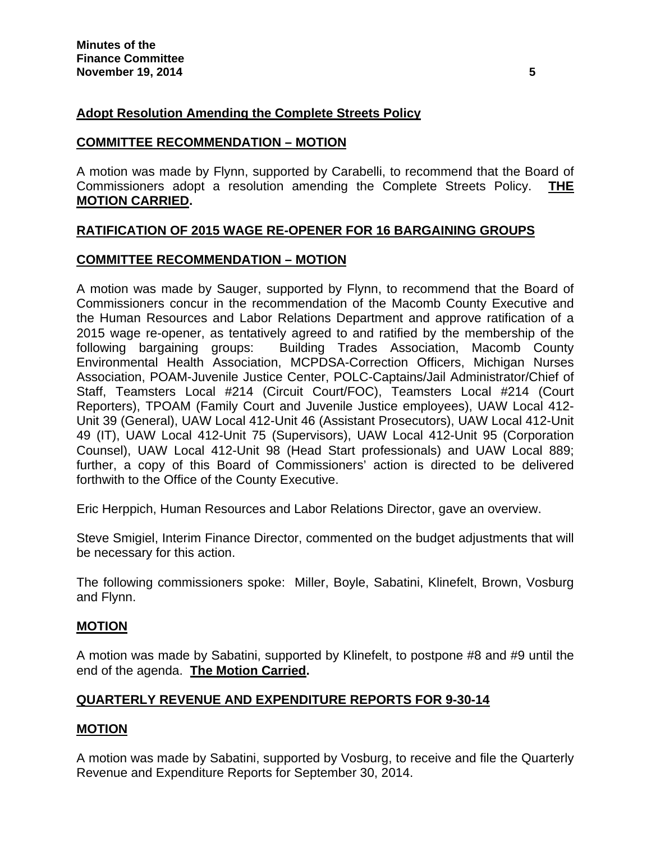## **Adopt Resolution Amending the Complete Streets Policy**

### **COMMITTEE RECOMMENDATION – MOTION**

A motion was made by Flynn, supported by Carabelli, to recommend that the Board of Commissioners adopt a resolution amending the Complete Streets Policy. **THE MOTION CARRIED.** 

## **RATIFICATION OF 2015 WAGE RE-OPENER FOR 16 BARGAINING GROUPS**

### **COMMITTEE RECOMMENDATION – MOTION**

A motion was made by Sauger, supported by Flynn, to recommend that the Board of Commissioners concur in the recommendation of the Macomb County Executive and the Human Resources and Labor Relations Department and approve ratification of a 2015 wage re-opener, as tentatively agreed to and ratified by the membership of the following bargaining groups: Building Trades Association, Macomb County Environmental Health Association, MCPDSA-Correction Officers, Michigan Nurses Association, POAM-Juvenile Justice Center, POLC-Captains/Jail Administrator/Chief of Staff, Teamsters Local #214 (Circuit Court/FOC), Teamsters Local #214 (Court Reporters), TPOAM (Family Court and Juvenile Justice employees), UAW Local 412- Unit 39 (General), UAW Local 412-Unit 46 (Assistant Prosecutors), UAW Local 412-Unit 49 (IT), UAW Local 412-Unit 75 (Supervisors), UAW Local 412-Unit 95 (Corporation Counsel), UAW Local 412-Unit 98 (Head Start professionals) and UAW Local 889; further, a copy of this Board of Commissioners' action is directed to be delivered forthwith to the Office of the County Executive.

Eric Herppich, Human Resources and Labor Relations Director, gave an overview.

Steve Smigiel, Interim Finance Director, commented on the budget adjustments that will be necessary for this action.

The following commissioners spoke: Miller, Boyle, Sabatini, Klinefelt, Brown, Vosburg and Flynn.

### **MOTION**

A motion was made by Sabatini, supported by Klinefelt, to postpone #8 and #9 until the end of the agenda. **The Motion Carried.** 

## **QUARTERLY REVENUE AND EXPENDITURE REPORTS FOR 9-30-14**

### **MOTION**

A motion was made by Sabatini, supported by Vosburg, to receive and file the Quarterly Revenue and Expenditure Reports for September 30, 2014.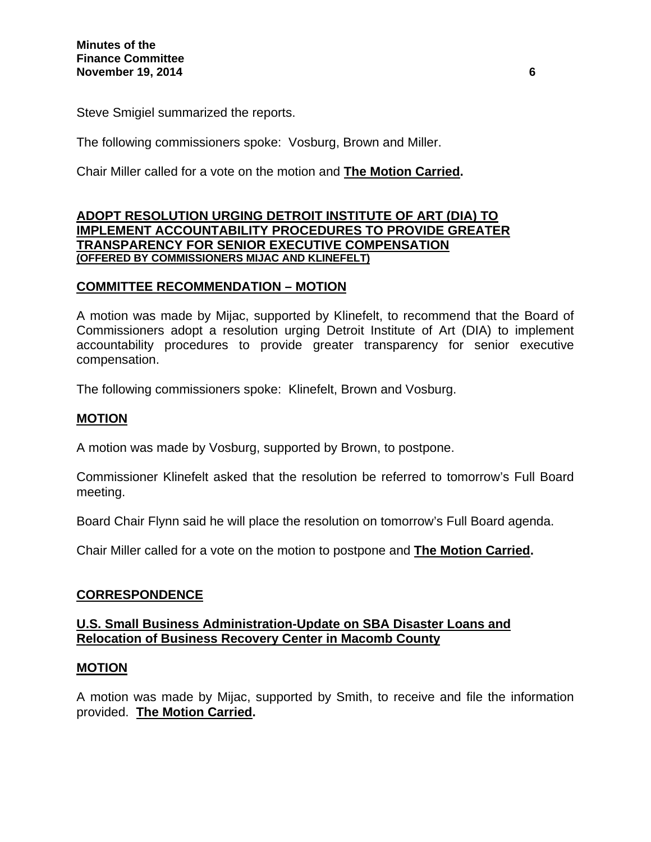Steve Smigiel summarized the reports.

The following commissioners spoke: Vosburg, Brown and Miller.

Chair Miller called for a vote on the motion and **The Motion Carried.**

### **ADOPT RESOLUTION URGING DETROIT INSTITUTE OF ART (DIA) TO IMPLEMENT ACCOUNTABILITY PROCEDURES TO PROVIDE GREATER TRANSPARENCY FOR SENIOR EXECUTIVE COMPENSATION (OFFERED BY COMMISSIONERS MIJAC AND KLINEFELT)**

### **COMMITTEE RECOMMENDATION – MOTION**

A motion was made by Mijac, supported by Klinefelt, to recommend that the Board of Commissioners adopt a resolution urging Detroit Institute of Art (DIA) to implement accountability procedures to provide greater transparency for senior executive compensation.

The following commissioners spoke: Klinefelt, Brown and Vosburg.

### **MOTION**

A motion was made by Vosburg, supported by Brown, to postpone.

Commissioner Klinefelt asked that the resolution be referred to tomorrow's Full Board meeting.

Board Chair Flynn said he will place the resolution on tomorrow's Full Board agenda.

Chair Miller called for a vote on the motion to postpone and **The Motion Carried.**

### **CORRESPONDENCE**

### **U.S. Small Business Administration-Update on SBA Disaster Loans and Relocation of Business Recovery Center in Macomb County**

### **MOTION**

A motion was made by Mijac, supported by Smith, to receive and file the information provided. **The Motion Carried.**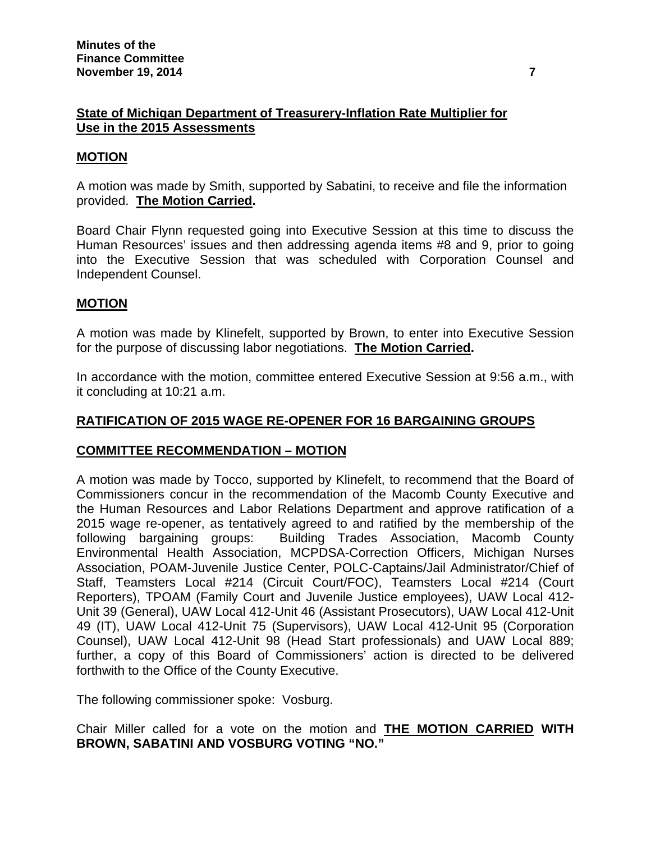## **State of Michigan Department of Treasurery-Inflation Rate Multiplier for Use in the 2015 Assessments**

### **MOTION**

A motion was made by Smith, supported by Sabatini, to receive and file the information provided. **The Motion Carried.** 

Board Chair Flynn requested going into Executive Session at this time to discuss the Human Resources' issues and then addressing agenda items #8 and 9, prior to going into the Executive Session that was scheduled with Corporation Counsel and Independent Counsel.

### **MOTION**

A motion was made by Klinefelt, supported by Brown, to enter into Executive Session for the purpose of discussing labor negotiations. **The Motion Carried.** 

In accordance with the motion, committee entered Executive Session at 9:56 a.m., with it concluding at 10:21 a.m.

### **RATIFICATION OF 2015 WAGE RE-OPENER FOR 16 BARGAINING GROUPS**

### **COMMITTEE RECOMMENDATION – MOTION**

A motion was made by Tocco, supported by Klinefelt, to recommend that the Board of Commissioners concur in the recommendation of the Macomb County Executive and the Human Resources and Labor Relations Department and approve ratification of a 2015 wage re-opener, as tentatively agreed to and ratified by the membership of the following bargaining groups: Building Trades Association, Macomb County Environmental Health Association, MCPDSA-Correction Officers, Michigan Nurses Association, POAM-Juvenile Justice Center, POLC-Captains/Jail Administrator/Chief of Staff, Teamsters Local #214 (Circuit Court/FOC), Teamsters Local #214 (Court Reporters), TPOAM (Family Court and Juvenile Justice employees), UAW Local 412- Unit 39 (General), UAW Local 412-Unit 46 (Assistant Prosecutors), UAW Local 412-Unit 49 (IT), UAW Local 412-Unit 75 (Supervisors), UAW Local 412-Unit 95 (Corporation Counsel), UAW Local 412-Unit 98 (Head Start professionals) and UAW Local 889; further, a copy of this Board of Commissioners' action is directed to be delivered forthwith to the Office of the County Executive.

The following commissioner spoke: Vosburg.

Chair Miller called for a vote on the motion and **THE MOTION CARRIED WITH BROWN, SABATINI AND VOSBURG VOTING "NO."**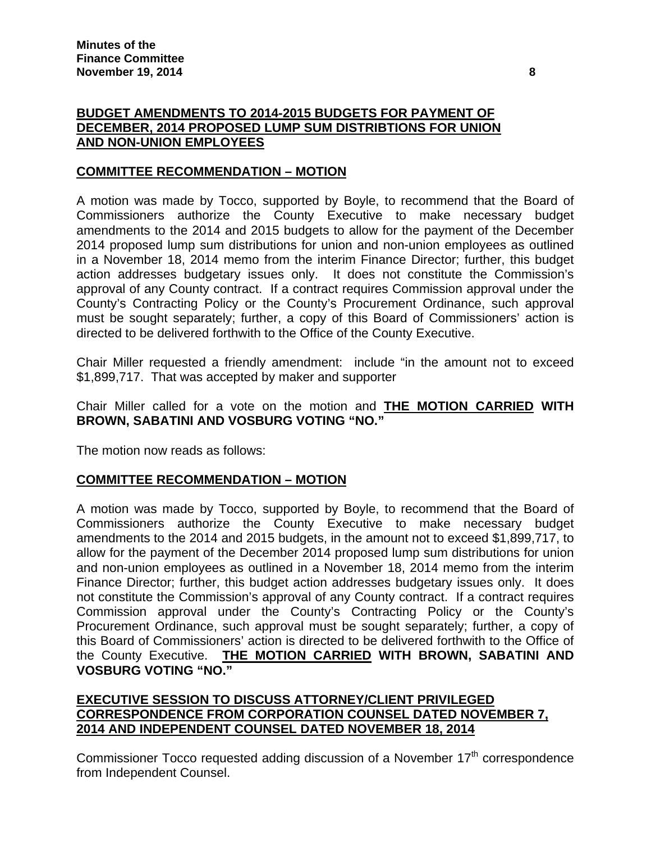# **BUDGET AMENDMENTS TO 2014-2015 BUDGETS FOR PAYMENT OF DECEMBER, 2014 PROPOSED LUMP SUM DISTRIBTIONS FOR UNION AND NON-UNION EMPLOYEES**

## **COMMITTEE RECOMMENDATION – MOTION**

A motion was made by Tocco, supported by Boyle, to recommend that the Board of Commissioners authorize the County Executive to make necessary budget amendments to the 2014 and 2015 budgets to allow for the payment of the December 2014 proposed lump sum distributions for union and non-union employees as outlined in a November 18, 2014 memo from the interim Finance Director; further, this budget action addresses budgetary issues only. It does not constitute the Commission's approval of any County contract. If a contract requires Commission approval under the County's Contracting Policy or the County's Procurement Ordinance, such approval must be sought separately; further, a copy of this Board of Commissioners' action is directed to be delivered forthwith to the Office of the County Executive.

Chair Miller requested a friendly amendment: include "in the amount not to exceed \$1,899,717. That was accepted by maker and supporter

## Chair Miller called for a vote on the motion and **THE MOTION CARRIED WITH BROWN, SABATINI AND VOSBURG VOTING "NO."**

The motion now reads as follows:

## **COMMITTEE RECOMMENDATION – MOTION**

A motion was made by Tocco, supported by Boyle, to recommend that the Board of Commissioners authorize the County Executive to make necessary budget amendments to the 2014 and 2015 budgets, in the amount not to exceed \$1,899,717, to allow for the payment of the December 2014 proposed lump sum distributions for union and non-union employees as outlined in a November 18, 2014 memo from the interim Finance Director; further, this budget action addresses budgetary issues only. It does not constitute the Commission's approval of any County contract. If a contract requires Commission approval under the County's Contracting Policy or the County's Procurement Ordinance, such approval must be sought separately; further, a copy of this Board of Commissioners' action is directed to be delivered forthwith to the Office of the County Executive. **THE MOTION CARRIED WITH BROWN, SABATINI AND VOSBURG VOTING "NO."** 

## **EXECUTIVE SESSION TO DISCUSS ATTORNEY/CLIENT PRIVILEGED CORRESPONDENCE FROM CORPORATION COUNSEL DATED NOVEMBER 7, 2014 AND INDEPENDENT COUNSEL DATED NOVEMBER 18, 2014**

Commissioner Tocco requested adding discussion of a November  $17<sup>th</sup>$  correspondence from Independent Counsel.